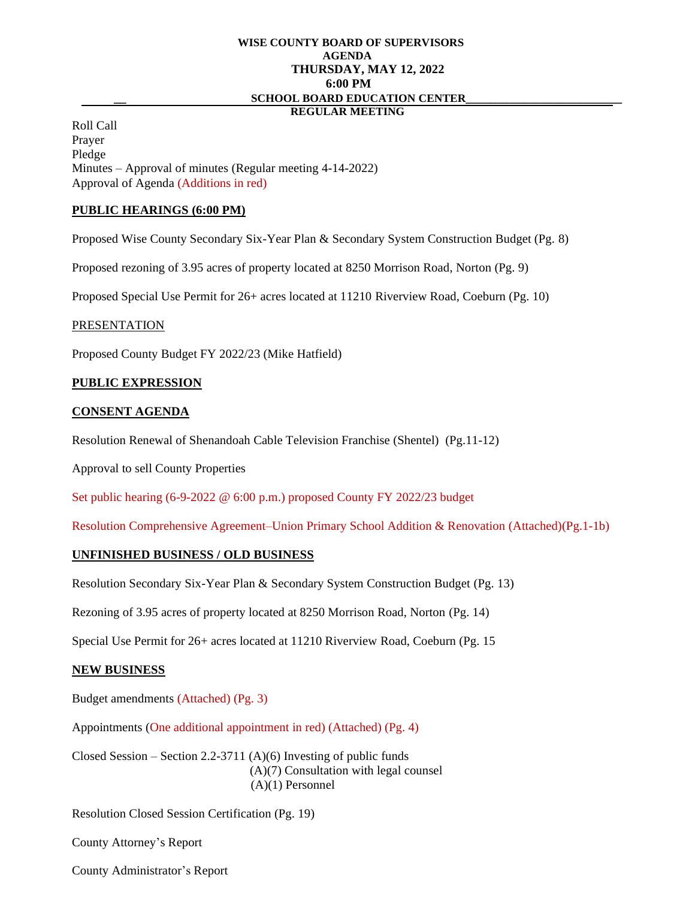# **WISE COUNTY BOARD OF SUPERVISORS AGENDA THURSDAY, MAY 12, 2022 6:00 PM \_\_ SCHOOL BOARD EDUCATION CENTER\_\_\_\_\_\_\_\_\_\_\_\_\_\_\_\_\_\_\_\_\_\_\_\_\_**

## **REGULAR MEETING**

Roll Call Prayer Pledge Minutes – Approval of minutes (Regular meeting 4-14-2022) Approval of Agenda (Additions in red)

#### **PUBLIC HEARINGS (6:00 PM)**

Proposed Wise County Secondary Six-Year Plan & Secondary System Construction Budget (Pg. 8)

Proposed rezoning of 3.95 acres of property located at 8250 Morrison Road, Norton (Pg. 9)

Proposed Special Use Permit for 26+ acres located at 11210 Riverview Road, Coeburn (Pg. 10)

#### PRESENTATION

Proposed County Budget FY 2022/23 (Mike Hatfield)

#### **PUBLIC EXPRESSION**

#### **CONSENT AGENDA**

Resolution Renewal of Shenandoah Cable Television Franchise (Shentel) (Pg.11-12)

Approval to sell County Properties

Set public hearing (6-9-2022 @ 6:00 p.m.) proposed County FY 2022/23 budget

Resolution Comprehensive Agreement–Union Primary School Addition & Renovation (Attached)(Pg.1-1b)

## **UNFINISHED BUSINESS / OLD BUSINESS**

Resolution Secondary Six-Year Plan & Secondary System Construction Budget (Pg. 13)

Rezoning of 3.95 acres of property located at 8250 Morrison Road, Norton (Pg. 14)

Special Use Permit for 26+ acres located at 11210 Riverview Road, Coeburn (Pg. 15

## **NEW BUSINESS**

Budget amendments (Attached) (Pg. 3)

Appointments (One additional appointment in red) (Attached) (Pg. 4)

Closed Session – Section 2.2-3711  $(A)(6)$  Investing of public funds (A)(7) Consultation with legal counsel (A)(1) Personnel

Resolution Closed Session Certification (Pg. 19)

County Attorney's Report

County Administrator's Report